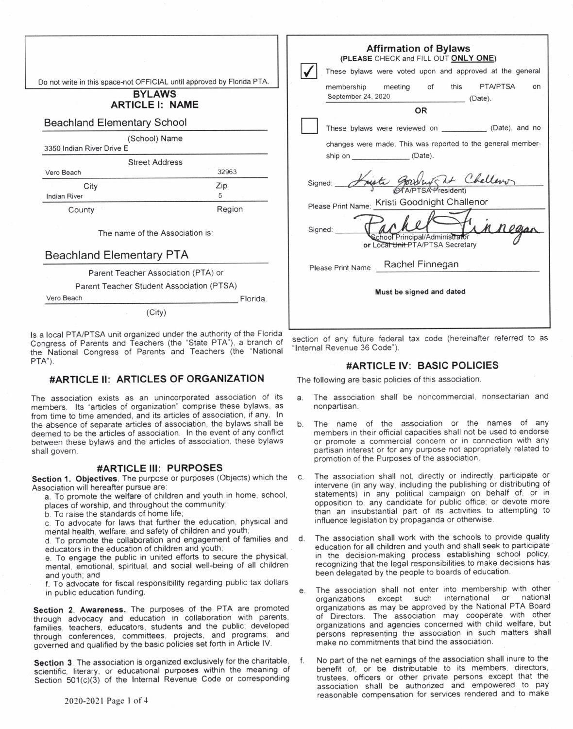| Do not write in this space-not OFFICIAL until approved by Florida PTA.<br><b>BYLAWS</b><br><b>ARTICLE I: NAME</b>                        | <b>Affirmation of Bylaws</b><br>(PLEASE CHECK and FILL OUT ONLY ONE)<br>These bylaws were voted upon and approved at the general<br><b>PTA/PTSA</b><br>membership<br>meeting<br>of<br>this<br>on<br>September 24, 2020<br>(Date).<br><b>OR</b> |
|------------------------------------------------------------------------------------------------------------------------------------------|------------------------------------------------------------------------------------------------------------------------------------------------------------------------------------------------------------------------------------------------|
| <b>Beachland Elementary School</b>                                                                                                       | These bylaws were reviewed on _____________ (Date), and no                                                                                                                                                                                     |
| (School) Name<br>3350 Indian River Drive E                                                                                               | changes were made. This was reported to the general member-                                                                                                                                                                                    |
| <b>Street Address</b>                                                                                                                    | ship on (Date).                                                                                                                                                                                                                                |
| 32963<br>Vero Beach                                                                                                                      | Jung at Chellenon                                                                                                                                                                                                                              |
| Zip<br>City<br>5                                                                                                                         | Signed:<br><b>OTA/PTSA</b> President)                                                                                                                                                                                                          |
| <b>Indian River</b><br>Region                                                                                                            | Please Print Name: Kristi Goodnight Challenor                                                                                                                                                                                                  |
| County<br>The name of the Association is:                                                                                                | n paran<br>Signed:<br>chool Principal/Administrator<br>or Local Unit PTA/PTSA Secretary                                                                                                                                                        |
| <b>Beachland Elementary PTA</b>                                                                                                          | Please Print Name Rachel Finnegan                                                                                                                                                                                                              |
| Parent Teacher Association (PTA) or                                                                                                      |                                                                                                                                                                                                                                                |
| Parent Teacher Student Association (PTSA)<br>Vero Beach<br>Florida.                                                                      | Must be signed and dated                                                                                                                                                                                                                       |
| (City)                                                                                                                                   |                                                                                                                                                                                                                                                |
| Is a local PTA/PTSA unit organized under the authority of the Florida<br>Congress of Parents and Teachers (the "State PTA"), a branch of | section of any future federal tax code (hereinafter referred to a                                                                                                                                                                              |

#ARTICLE II: ARTICLES OF ORGANIZATION

the National Congress of Parents and Teachers (the "National

The association exists as an unincorporated association of its members. Its "articles of organization" comprise these bylaws, as from time to time amended, and its articles of association, if any. In the absence of separate articles of association, the bylaws shall be deemed to be the articles of association. In the event of any conflict between these bylaws and the articles of association, these bylaws shall govern.

### **#ARTICLE III: PURPOSES**

Section 1. Objectives. The purpose or purposes (Objects) which the Association will hereafter pursue are:

a. To promote the welfare of children and youth in home, school, places of worship, and throughout the community;

b. To raise the standards of home life;

2020-2021 Page 1 of 4

 $PTA$ ").

c. To advocate for laws that further the education, physical and mental health, welfare, and safety of children and youth;

d. To promote the collaboration and engagement of families and educators in the education of children and youth;

e. To engage the public in united efforts to secure the physical, mental, emotional, spiritual, and social well-being of all children and youth; and

f. To advocate for fiscal responsibility regarding public tax dollars in public education funding.

Section 2. Awareness. The purposes of the PTA are promoted through advocacy and education in collaboration with parents, families, teachers, educators, students and the public, developed through conferences, committees, projects, and programs; and governed and qualified by the basic policies set forth in Article IV.

Section 3. The association is organized exclusively for the charitable, scientific, literary, or educational purposes within the meaning of Section 501(c)(3) of the Internal Revenue Code or corresponding

ection of any future federal tax co "Internal Revenue 36 Code").

### #ARTICLE IV: BASIC POLICIES

The following are basic policies of this association.

- The association shall be noncommercial, nonsectarian and nonpartisan.
- The name of the association or the names of any  $h$ members in their official capacities shall not be used to endorse or promote a commercial concern or in connection with any partisan interest or for any purpose not appropriately related to promotion of the Purposes of the association.
- The association shall not, directly or indirectly, participate or intervene (in any way, including the publishing or distributing of statements) in any political campaign on behalf of, or in opposition to, any candidate for public office; or devote more than an insubstantial part of its activities to attempting to influence legislation by propaganda or otherwise.
- The association shall work with the schools to provide quality d. education for all children and youth and shall seek to participate in the decision-making process establishing school policy, recognizing that the legal responsibilities to make decisions has been delegated by the people to boards of education.
- The association shall not enter into membership with other  $\mathbf{e}$ organizations except such international or national organizations as may be approved by the National PTA Board of Directors. The association may cooperate with other organizations and agencies concerned with child welfare, but persons representing the association in such matters shall make no commitments that bind the association.
- No part of the net earnings of the association shall inure to the benefit of, or be distributable to its members, directors, trustees, officers or other private persons except that the association shall be authorized and empowered to pay reasonable compensation for services rendered and to make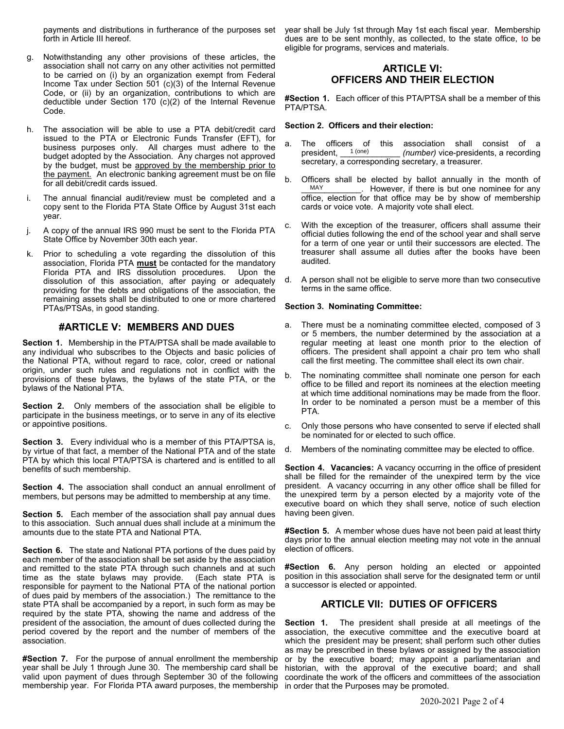payments and distributions in furtherance of the purposes set forth in Article III hereof.

- g. Notwithstanding any other provisions of these articles, the association shall not carry on any other activities not permitted to be carried on (i) by an organization exempt from Federal Income Tax under Section 501 (c)(3) of the Internal Revenue Code, or (ii) by an organization, contributions to which are deductible under Section 170 (c)(2) of the Internal Revenue Code.
- h. The association will be able to use a PTA debit/credit card issued to the PTA or Electronic Funds Transfer (EFT), for business purposes only. All charges must adhere to the budget adopted by the Association. Any charges not approved by the budget, must be approved by the membership prior to the payment. An electronic banking agreement must be on file for all debit/credit cards issued.
- i. The annual financial audit/review must be completed and a copy sent to the Florida PTA State Office by August 31st each year.
- j. A copy of the annual IRS 990 must be sent to the Florida PTA State Office by November 30th each year.
- k. Prior to scheduling a vote regarding the dissolution of this association, Florida PTA **must** be contacted for the mandatory Florida PTA and IRS dissolution procedures. Upon the dissolution of this association, after paying or adequately providing for the debts and obligations of the association, the remaining assets shall be distributed to one or more chartered PTAs/PTSAs, in good standing.

### **#ARTICLE V: MEMBERS AND DUES**

**Section 1.** Membership in the PTA/PTSA shall be made available to any individual who subscribes to the Objects and basic policies of the National PTA, without regard to race, color, creed or national origin, under such rules and regulations not in conflict with the provisions of these bylaws, the bylaws of the state PTA, or the bylaws of the National PTA.

**Section 2.** Only members of the association shall be eligible to participate in the business meetings, or to serve in any of its elective or appointive positions.

**Section 3.** Every individual who is a member of this PTA/PTSA is, by virtue of that fact, a member of the National PTA and of the state PTA by which this local PTA/PTSA is chartered and is entitled to all benefits of such membership.

**Section 4.** The association shall conduct an annual enrollment of members, but persons may be admitted to membership at any time.

**Section 5.** Each member of the association shall pay annual dues to this association. Such annual dues shall include at a minimum the amounts due to the state PTA and National PTA.

**Section 6.** The state and National PTA portions of the dues paid by each member of the association shall be set aside by the association and remitted to the state PTA through such channels and at such time as the state bylaws may provide. (Each state PTA is responsible for payment to the National PTA of the national portion of dues paid by members of the association.) The remittance to the state PTA shall be accompanied by a report, in such form as may be required by the state PTA, showing the name and address of the president of the association, the amount of dues collected during the period covered by the report and the number of members of the association.

**#Section 7.** For the purpose of annual enrollment the membership year shall be July 1 through June 30. The membership card shall be valid upon payment of dues through September 30 of the following membership year. For Florida PTA award purposes, the membership

year shall be July 1st through May 1st each fiscal year. Membership dues are to be sent monthly, as collected, to the state office, to be eligible for programs, services and materials.

# **ARTICLE VI: OFFICERS AND THEIR ELECTION**

**#Section 1.** Each officer of this PTA/PTSA shall be a member of this PTA/PTSA.

#### **Section 2. Officers and their election:**

- a. The officers of this association shall consist of a (number) vice-presidents, a recording secretary, a corresponding secretary, a treasurer. president, 1 (one)
- b. Officers shall be elected by ballot annually in the month of However, if there is but one nominee for any office, election for that office may be by show of membership cards or voice vote. A majority vote shall elect. MAY
- c. With the exception of the treasurer, officers shall assume their official duties following the end of the school year and shall serve for a term of one year or until their successors are elected. The treasurer shall assume all duties after the books have been audited.
- d. A person shall not be eligible to serve more than two consecutive terms in the same office.

#### **Section 3. Nominating Committee:**

- a. There must be a nominating committee elected, composed of 3 or 5 members, the number determined by the association at a regular meeting at least one month prior to the election of officers. The president shall appoint a chair pro tem who shall call the first meeting. The committee shall elect its own chair.
- b. The nominating committee shall nominate one person for each office to be filled and report its nominees at the election meeting at which time additional nominations may be made from the floor. In order to be nominated a person must be a member of this PTA.
- c. Only those persons who have consented to serve if elected shall be nominated for or elected to such office.
- d. Members of the nominating committee may be elected to office.

**Section 4. Vacancies:** A vacancy occurring in the office of president shall be filled for the remainder of the unexpired term by the vice president. A vacancy occurring in any other office shall be filled for the unexpired term by a person elected by a majority vote of the executive board on which they shall serve, notice of such election having been given.

**#Section 5.** A member whose dues have not been paid at least thirty days prior to the annual election meeting may not vote in the annual election of officers.

**#Section 6.** Any person holding an elected or appointed position in this association shall serve for the designated term or until a successor is elected or appointed.

### **ARTICLE VII: DUTIES OF OFFICERS**

**Section 1.** The president shall preside at all meetings of the association, the executive committee and the executive board at which the president may be present; shall perform such other duties as may be prescribed in these bylaws or assigned by the association or by the executive board; may appoint a parliamentarian and historian, with the approval of the executive board; and shall coordinate the work of the officers and committees of the association in order that the Purposes may be promoted.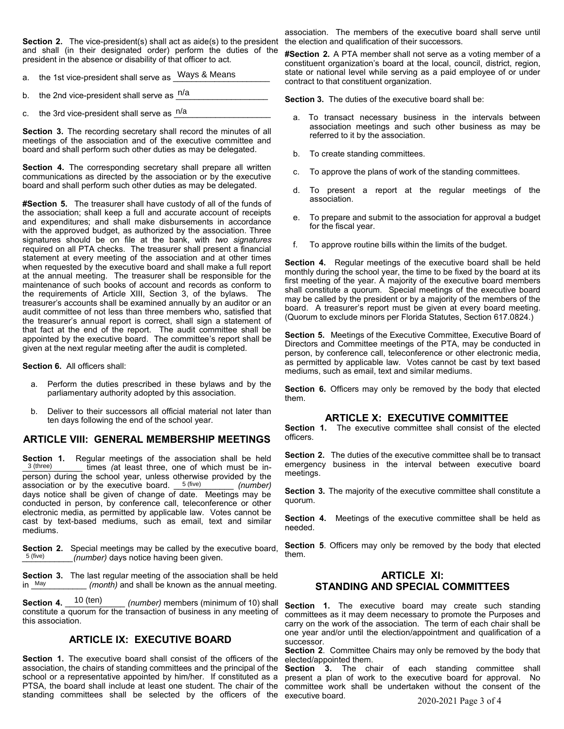Section 2. The vice-president(s) shall act as aide(s) to the president the election and qualification of their successors. and shall (in their designated order) perform the duties of the president in the absence or disability of that officer to act.

- a. the 1st vice-president shall serve as \_Ways & Means
- b. the 2nd vice-president shall serve as \_<sup>n/a</sup>\_\_\_\_\_\_\_\_\_\_\_\_\_\_\_\_\_\_\_\_
- c. the 3rd vice-president shall serve as \_<sup>n/a</sup>\_\_\_\_\_\_\_\_\_\_\_\_\_\_\_\_\_\_\_\_

**Section 3.** The recording secretary shall record the minutes of all meetings of the association and of the executive committee and board and shall perform such other duties as may be delegated.

**Section 4.** The corresponding secretary shall prepare all written communications as directed by the association or by the executive board and shall perform such other duties as may be delegated.

**#Section 5.** The treasurer shall have custody of all of the funds of the association; shall keep a full and accurate account of receipts and expenditures; and shall make disbursements in accordance with the approved budget, as authorized by the association. Three signatures should be on file at the bank, with *two signatures*  required on all PTA checks. The treasurer shall present a financial statement at every meeting of the association and at other times when requested by the executive board and shall make a full report at the annual meeting. The treasurer shall be responsible for the maintenance of such books of account and records as conform to the requirements of Article XIII, Section 3, of the bylaws. The treasurer's accounts shall be examined annually by an auditor or an audit committee of not less than three members who, satisfied that the treasurer's annual report is correct, shall sign a statement of that fact at the end of the report. The audit committee shall be appointed by the executive board. The committee's report shall be given at the next regular meeting after the audit is completed.

**Section 6.** All officers shall:

- a. Perform the duties prescribed in these bylaws and by the parliamentary authority adopted by this association.
- b. Deliver to their successors all official material not later than ten days following the end of the school year.

### **ARTICLE VIII: GENERAL MEMBERSHIP MEETINGS**

**Section 1.** Regular meetings of the association shall be held times *(at least three, one of which must be in*person) during the school year, unless otherwise provided by the association or by the executive board. <sup>5 (five)</sup> (number) days notice shall be given of change of date. Meetings may be conducted in person, by conference call, teleconference or other electronic media, as permitted by applicable law. Votes cannot be cast by text-based mediums, such as email, text and similar mediums. 3 (three)

**Section 2.** Special meetings may be called by the executive board, *\_\_\_\_\_\_\_\_\_\_\_(number)* days notice having been given. 5 (five)

**Section 3.** The last regular meeting of the association shall be held *(month)* and shall be known as the annual meeting. in May

**Section 4.** <sup>10 (ten)</sup> (number) members (minimum of 10) shall constitute a quorum for the transaction of business in any meeting of this association. 10 (ten)

## **ARTICLE IX: EXECUTIVE BOARD**

**Section 1.** The executive board shall consist of the officers of the association, the chairs of standing committees and the principal of the school or a representative appointed by him/her. If constituted as a PTSA, the board shall include at least one student. The chair of the standing committees shall be selected by the officers of the executive board.

association. The members of the executive board shall serve until

**#Section 2.** A PTA member shall not serve as a voting member of a constituent organization's board at the local, council, district, region, state or national level while serving as a paid employee of or under contract to that constituent organization.

**Section 3.** The duties of the executive board shall be:

- a. To transact necessary business in the intervals between association meetings and such other business as may be referred to it by the association.
- b. To create standing committees.
- c. To approve the plans of work of the standing committees.
- d. To present a report at the regular meetings of the association.
- e. To prepare and submit to the association for approval a budget for the fiscal year.
- f. To approve routine bills within the limits of the budget.

**Section 4.** Regular meetings of the executive board shall be held monthly during the school year, the time to be fixed by the board at its first meeting of the year. A majority of the executive board members shall constitute a quorum. Special meetings of the executive board may be called by the president or by a majority of the members of the board. A treasurer's report must be given at every board meeting. (Quorum to exclude minors per Florida Statutes, Section 617.0824.)

**Section 5.** Meetings of the Executive Committee, Executive Board of Directors and Committee meetings of the PTA, may be conducted in person, by conference call, teleconference or other electronic media, as permitted by applicable law. Votes cannot be cast by text based mediums, such as email, text and similar mediums.

**Section 6.** Officers may only be removed by the body that elected them.

#### **ARTICLE X: EXECUTIVE COMMITTEE**

**Section 1.** The executive committee shall consist of the elected officers.

**Section 2.** The duties of the executive committee shall be to transact emergency business in the interval between executive board meetings.

**Section 3.** The majority of the executive committee shall constitute a quorum.

**Section 4.** Meetings of the executive committee shall be held as needed.

**Section 5**. Officers may only be removed by the body that elected them.

### **ARTICLE XI: STANDING AND SPECIAL COMMITTEES**

**Section 1.** The executive board may create such standing committees as it may deem necessary to promote the Purposes and carry on the work of the association. The term of each chair shall be one year and/or until the election/appointment and qualification of a successor.

**Section 2**. Committee Chairs may only be removed by the body that elected/appointed them.

**Section 3.** The chair of each standing committee shall present a plan of work to the executive board for approval. No committee work shall be undertaken without the consent of the

2020-2021 Page 3 of 4